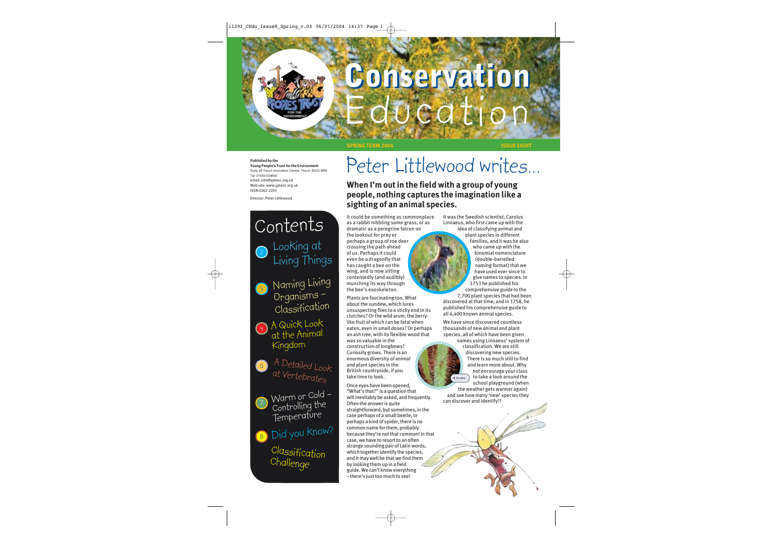# **Conservation LICOLI**

**SPRING TERM 2004 ISSUE EIGHT**

#### **Published by the**

**Young People's Trust for the Environment** Suite 29 Yeovil Innovation Centre, Yeovil, BA22 8RN Tel: 01483 539600 email: info@yptenc.org.uk Web site: www.yptenc.org.uk ISSN 0262-2203

Director: Peter Littlewood

### Looking at Living Things A Quick Look  $\frac{4}{1}$  A QUICK Looks 2 3) Naming Living Organisms – Classification Contents

- A Detailed Look Kingdom 6
	- at Vertebrates Warm or Cold –
- 7 Controlling the Temperature

8) Did you know?

Classification Challenge

### Peter Littlewood writes…

**When I'm out in the field with a group of young people, nothing captures the imagination like a sighting of an animal species.**

It could be something as commonplace as a rabbit nibbling some grass, or as dramatic as a peregrine falcon on the lookout for prey or

perhaps a group of roe deer crossing the path ahead of us. Perhaps it could even be a dragonfly that has caught a bee on the wing, and is now sitting contentedly (and audibly) munching its way through the bee's exoskeleton.

Plants are fascinating too. What about the sundew, which lures unsuspecting flies to a sticky end in its clutches? Or the wild arum, the berrylike fruit of which can be fatal when eaten, even in small doses? Or perhaps an ash tree, with its flexible wood that

was so valuable in the construction of longbows? Curiosity grows. There is an enormous diversity of animal and plant species in the British countryside, if you take time to look.

Once eyes have been opened, "What's that?" is a question that will inevitably be asked, and frequently. Often the answer is quite straightforward, but sometimes, in the case perhaps of a small beetle, or perhaps a kind of spider, there is no common name for them, probably because they're not that common! In that case, we have to resort to an often strange sounding pair of Latin words, which together identify the species, and it may well be that we find them by looking them up in a field guide. We can't know everything – there's just too much to see!

It was the Swedish scientist, Carolus Linnaeus, who first came up with the idea of classifying animal and

plant species in different families, and it was he also who came up with the binomial nomenclature (double-barrelled naming format) that we have used ever since to give names to species. In 1753 he published his comprehensive guide to the

7,700 plant species that had been discovered at that time, and in 1758, he published his comprehensive guide to all 4,400 known animal species.

We have since discovered countless thousands of new animal and plant species, all of which have been given

names using Linnaeus' system of classification. We are still discovering new species. There is so much still to find and learn more about. Why not encourage your class to take a look around the school playground (when Sundew

the weather gets warmer again) and see how many 'new' species they can discover and identify?!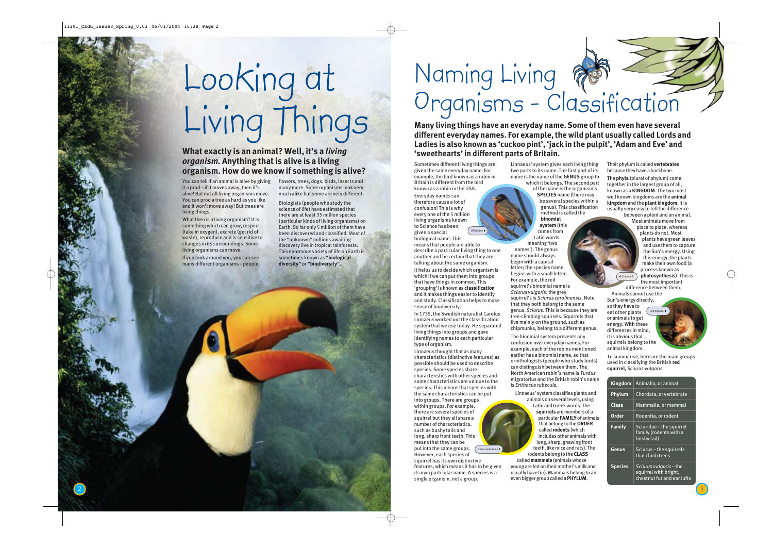# Looking at Living Things

### **What exactly is an animal? Well, it's a** *living organism.* **Anything that is alive is a living organism. How do we know if something is alive?**

You can tell if an animal is alive by giving it a prod – if it moves away, then it's alive! But not all living organisms move. You can prod a tree as hard as you like and it won't move away! But trees are living things.

What then is a living organism? It is something which can grow, respire (take in oxygen), excrete (get rid of waste), reproduce and is sensitive to changes in its surroundings. Some living organisms can move.

If you look around you, you can see many different organisms – people,

2

flowers, trees, dogs, birds, insects and many more. Some organisms look very much alike but some are very different.

Biologists (people who study the science of life) have estimated that there are at least 35 million species (particular kinds of living organisms) on Earth. So far only 5 million of them have been discovered and classified. Most of the "unknown" millions awaiting discovery live in tropical rainforests. This enormous variety of life on Earth is sometimes known as **"biological diversity"** or **"biodiversity".**

## Naming Living Organisms - Classification

**Many living things have an everyday name. Some of them even have several different everyday names. For example, the wild plant usually called Lords and Ladies is also known as 'cuckoo pint', 'jack in the pulpit', 'Adam and Eve' and 'sweethearts' in different parts of Britain.**

Sometimes different living things are given the same everyday name. For example, the bird known as a robin in Britain is different from the bird known as a robin in the USA. Everyday names can therefore cause a lot of

confusion! This is why every one of the 5 million living organisms known to Science has been given a special biological name. This means that people are able to describe a particular living thing to one another and be certain that they are talking about the same organism. It helps us to decide which organism is which if we can put them into groups that have things in common. This 'grouping' is known as **classification** and it makes things easier to identify and study. Classification helps to make sense of biodiversity. USA Robin

In 1735, the Swedish naturalist Carolus Linnaeus worked out the classification system that we use today. He separated living things into groups and gave identifying names to each particular type of organism.

Linnaeus thought that as many characteristics (distinctive features) as possible should be used to describe species. Some species share characteristics with other species and some characteristics are unique to the species. This means that species with the same characteristics can be put into groups. There are groups within groups. For example, there are several species of squirrel but they all share a number of characteristics, such as bushy tails and long, sharp front teeth. This means that they can be put into the same groups. However, each species of squirrel has its own distinctive features, which means it has to be given its own particular name. A species is a single organism, not a group. Lords and Ladies  $\blacktriangleright$ 

Linnaeus' system gives each living thing two parts to its name. The first part of its name is the name of the **GENUS** group to which it belongs. The second part

of the name is the organism's **SPECIES** name (there may be several species within a genus). This classification method is called the **binomial system** (this

comes from Latin words meaning 'two names'). The genus name should always begin with a capital letter; the species name begins with a small letter. For example, the red squirrel's binomial name is *Sciurus vulgaris*; the grey squirrel's is *Sciurus carolinensis*. Note that they both belong to the same genus, *Sciurus*. This is because they are tree-climbing squirrels. Squirrels that live mainly on the ground, such as chipmunks, belong to a different genus.

The binomial system prevents any confusion over everyday names. For example, each of the robins mentioned earlier has a binomial name, so that ornithologists (people who study birds) can distinguish between them. The North American robin's name is *Turdus* migratorius and the British robin's name is *Erithacus rubecula.*

Linnaeus' system classifies plants and animals on several levels, using Latin and Greek words. The **squirrels** are members of a particular **FAMILY** of animals that belong to the **ORDER** called **rodents** (which includes other animals with long, sharp, gnawing front teeth, like mice and rats). The

rodents belong to the **CLASS** called **mammals** (animals whose young are fed on their mother's milk and usually have fur). Mammals belong to an even bigger group called a **PHYLUM** .

Their phylum is called **vertebrates** because they have a backbone.

The **phyla** (plural of phylum) come together in the largest group of all, known as a **KINGDOM**. The two most well known kingdoms are the **animal kingdom** and the **plant kingdom**. It is usually very easy to tell the difference between a plant and an animal.

Most animals move from place to place, whereas plants do not. Most plants have green leaves and use them to capture the Sun's energy. Using this energy, the plants make their own food (a process known as **photosynthesis**). This is the most important

difference between them. Animals cannot use the Sun's energy directly,

so they have to eat other plants or animals to get energy. With these differences in mind, it is obvious that squirrels belong to the animal kingdom. Red Squirrel

Chipmunk

To summarise, here are the main groups used in classifying the British **red squirrel,** *Sciurus vulgaris.*

| <b>Kingdom</b> | Animalia, or animal                                                           |
|----------------|-------------------------------------------------------------------------------|
| Phylum         | Chordata, or vertebrate                                                       |
| Class          | Mammalia, or mammal                                                           |
| Order          | Rodentia, or rodent                                                           |
| <b>Family</b>  | Sciuridae - the squirrel<br>family (rodents with a<br>bushy tail)             |
| Genus          | Sciurus-the squirrels<br>that climb trees                                     |
| <b>Species</b> | Sciurus vulgaris - the<br>squirrel with bright,<br>chestnut fur and ear tufts |

3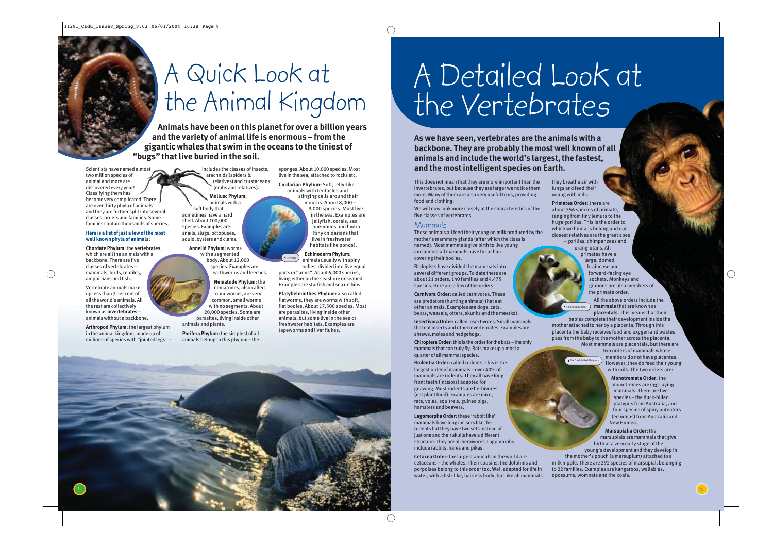### A Quick Look at the Animal Kingdom

**Animals have been on this planet for over a billion years and the variety of animal life is enormous – from the gigantic whales that swim in the oceans to the tiniest of "bugs" that live buried in the soil.**

Scientists have named almost two million species of animal and more are discovered every year! Classifying them has become very complicated! There are over thirty phyla of animals and they are further split into several classes, orders and families. Some families contain thousands of species.

#### **Here is a list of just a few of the most well known phyla of animals:**

**Chordate Phylum:**the **vertebrates**, which are all the animals with a backbone. There are five classes of vertebrates – mammals, birds, reptiles, amphibians and fish.

Vertebrate animals make up less than 3 per cent of all the world's animals. All the rest are collectively known as **invertebrates** – animals without a backbone.

4

**Arthropod Phylum:** the largest phylum in the animal kingdom, made up of millions of species with "jointed legs" – includes the classes of insects, arachnids (spiders & relatives) and crustaceans (crabs and relatives). **Mollusc Phylum:**

animals with a soft body that sometimes have a hard shell. About 100,000 species. Examples are snails, slugs, octopuses, squid, oysters and clams.

> **Annelid Phylum:** worms with a segmented body. About 12,000 species. Examples are earthworms and leeches.

**Nematode Phylum:** the nematodes, also called roundworms, are very common, small worms with no segments. About 20,000 species. Some are parasites, living inside other animals and plants.

**Porifera Phylum:**the simplest of all animals belong to this phylum – the sponges. About 10,000 species. Most live in the sea, attached to rocks etc.

**Cnidarian Phylum:** Soft, jelly-like animals with tentacles and stinging cells around their mouths. About 8,000 – 9,000 species. Most live in the sea. Examples are jellyfish, corals, sea anemones and hydra (tiny cnidarians that live in freshwater habitats like ponds).

**Echinoderm Phylum:** animals usually with spiny bodies, divided into five equal parts or "arms". About 6,000 species, living either on the seashore or seabed. Examples are starfish and sea urchins. Jellyfish

**Platyhelminthes Phylum:** also called flatworms, they are worms with soft, flat bodies. About 17,500 species. Most are parasites, living inside other animals, but some live in the sea or freshwater habitats. Examples are tapeworms and liver flukes.

# A Detailed Look at the Vertebrates

**As we have seen, vertebrates are the animals with a backbone. They are probably the most well known of all animals and include the world's largest, the fastest, and the most intelligent species on Earth.**

This does not mean that they are more important than the invertebrates, but because they are larger we notice them more. Many of them are also very useful to us, providing food and clothing.

We will now look more closely at the characteristics of the five classes of vertebrates.

#### Mammals

These animals all feed their young on milk produced by the mother's mammary glands (after which the class is named). Most mammals give birth to live young and almost all mammals have fur or hair covering their bodies.

Biologists have divided the mammals into several different groups. To date there are about 21 orders, 140 families and 4,475 species. Here are a few of the orders:

**Carnivora Order:** called carnivores. These are predators (hunting animals) that eat other animals. Examples are dogs, cats, bears, weasels, otters, skunks and the meerkat.

**Insectivora Order:** called insectivores. Small mammals that eat insects and other invertebrates. Examples are shrews, moles and hedgehogs.

**Chiroptera Order:**this is the order for the bats – the only mammals that can truly fly. Bats make up almost a quarter of all mammal species.

**Rodentia Order:** called rodents. This is the largest order of mammals – over 40% of mammals are rodents. They all have long front teeth (incisors) adapted for gnawing. Most rodents are herbivores (eat plant food). Examples are mice, rats, voles, squirrels, guinea pigs, hamsters and beavers.

**Lagomorpha Order:**these 'rabbit like' mammals have long incisors like the rodents but they have two sets instead of just one and their skulls have a different structure. They are all herbivores. Lagomorphs include rabbits, hares and pikas.

**Cetacea Order:** the largest animals in the world are cetaceans – the whales. Their cousins, the dolphins and porpoises belong to this order too. Well adapted for life in water, with a fish-like, hairless body, but like all mammals

they breathe air with lungs and feed their young with milk.

**The Duck-billed Platypu** 

**Primates Order:** there are about 356 species of primate, ranging from tiny lemurs to the huge gorillas. This is the order to which we humans belong and our closest relatives are the great apes – gorillas, chimpanzees and orang-utans. All primates have a

large, domed braincase and forward-facing eye sockets. Monkeys and gibbons are also members of the primate order.

All the above orders include the **mammals** that are known as **placentals**. This means that their Ring-tailed Lemur

babies complete their development inside the mother attached to her by a placenta. Through this placenta the baby receives food and oxygen and wastes pass from the baby to the mother across the placenta. Most mammals are placentals, but there are

two orders of mammals whose members do not have placentas. However, they do feed their young with milk. The two orders are:

> **Monotremata Order:** the monotremes are egg-laying mammals. There are five species – the duck-billed platypus from Australia, and four species of spiny anteaters (echidnas) from Australia and New Guinea.

**Marsupialia Order:** the marsupials are mammals that give birth at a very early stage of the young's development and they develop in the mother's pouch (a marsupium) attached to a milk nipple. There are 292 species of marsupial, belonging to 22 families. Examples are kangaroos, wallabies, opossums, wombats and the koala.

5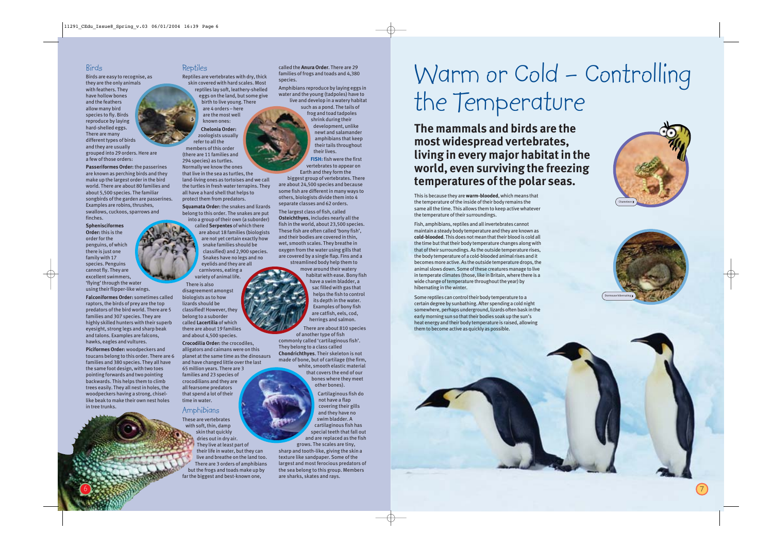### Birds

Birds are easy to recognise, as they are the only animals with feathers. They have hollow bones and the feathers allow many bird species to fly. Birds reproduce by laying hard-shelled eggs. There are many different types of birds and they are usually grouped into 29 orders. Here are a few of those orders:

**Passeriformes Order:** the passerines are known as perching birds and they make up the largest order in the bird world. There are about 80 families and about 5,500 species. The familiar songbirds of the garden are passerines. Examples are robins, thrushes, swallows, cuckoos, sparrows and finches.

**Sphenisciformes Order:** this is the order for the penguins, of which there is just one family with 17 species. Penguins cannot fly. They are excellent swimmers, 'flying' through the water using their flipper-like wings.

**Falconiformes Order:** sometimes called raptors, the birds of prey are the top predators of the bird world. There are 5 families and 307 species. They are highly skilled hunters with their superb eyesight, strong legs and sharp beak and talons. Examples are falcons, hawks, eagles and vultures.

**Piciformes Order:** woodpeckers and toucans belong to this order. There are 6 families and 380 species. They all have the same foot design, with two toes pointing forwards and two pointing backwards. This helps them to climb trees easily. They all nest in holes, the woodpeckers having a strong, chisellike beak to make their own nest holes in tree trunks.

### Reptiles

Reptiles are vertebrates with dry, thick skin covered with hard scales. Most reptiles lay soft, leathery-shelled eggs on the land, but some give birth to live young. There are 4 orders – here are the most well

known ones: **Chelonia Order:** zoologists usually refer to all the members of this order (there are 11 families and 294 species) as turtles. Normally we know the ones that live in the sea as turtles, the land-living ones as tortoises and we call the turtles in fresh water terrapins. They

all have a hard shell that helps to

protect them from predators. **Squamata Order:** the snakes and lizards belong to this order. The snakes are put into a group of their own (a suborder) called **Serpentes** of which there are about 18 families (biologists are not yet certain exactly how snake families should be classified) and 2,900 species. Snakes have no legs and no eyelids and they are all

carnivores, eating a variety of animal life.

There is also disagreement amongst biologists as to how lizards should be classified! However, they belong to a suborder called **Lacertilia** of which there are about 19 families and about 4,500 species.

**Crocodilia Order:** the crocodiles, alligators and caimans were on this planet at the same time as the dinosaurs and have changed little over the last 65 million years. There are 3 families and 23 species of crocodilians and they are all fearsome predators that spend a lot of their time in water.

### Amphibians

These are vertebrates with soft, thin, damp skin that quickly dries out in dry air. They live at least part of their life in water, but they can live and breathe on the land too. There are 3 orders of amphibians but the frogs and toads make up by far the biggest and best-known one,

called the **Anura Order**. There are 29 families of frogs and toads and 4,380 species.

Amphibians reproduce by laying eggs in water and the young (tadpoles) have to live and develop in a watery habitat

> such as a pond. The tails of frog and toad tadpoles shrink during their development, unlike newt and salamander amphibians that keep their tails throughout their lives.

**FISH:** fish were the first vertebrates to appear on Earth and they form the biggest group of vertebrates. There are about 24,500 species and because

some fish are different in many ways to others, biologists divide them into 4 separate classes and 62 orders.

The largest class of fish, called **Osteichthyes**, includes nearly all the fish in the world, about 23,500 species. These fish are often called 'bony fish', and their bodies are covered in thin, wet, smooth scales. They breathe in oxygen from the water using gills that are covered by a single flap. Fins and a streamlined body help them to

> move around their watery habitat with ease. Bony fish have a swim bladder, a sac filled with gas that helps the fish to control its depth in the water. Examples of bony fish are catfish, eels, cod, herrings and salmon.

### There are about 810 species

of another type of fish commonly called 'cartilaginous fish'. They belong to a class called **Chondrichthyes**. Their skeleton is not made of bone, but of cartilage (the firm, white, smooth elastic material that covers the end of our bones where they meet other bones).

> Cartilaginous fish do not have a flap covering their gills and they have no swim bladder. A cartilaginous fish has special teeth that fall out and are replaced as the fish

grows. The scales are tiny, sharp and tooth-like, giving the skin a texture like sandpaper. Some of the largest and most ferocious predators of the sea belong to this group. Members are sharks, skates and rays.

### Warm or Cold – Controlling the Temperature

**The mammals and birds are the most widespread vertebrates, living in every major habitat in the world, even surviving the freezing temperatures of the polar seas.**

This is because they are **warm-blooded**, which means that the temperature of the inside of their body remains the same all the time. This allows them to keep active whatever the temperature of their surroundings.

Fish, amphibians, reptiles and all invertebrates cannot maintain a steady body temperature and they are known as **cold-blooded**. This does not mean that their blood is cold all the time but that their body temperature changes along with that of their surroundings. As the outside temperature rises, the body temperature of a cold-blooded animal rises and it becomes more active. As the outside temperature drops, the animal slows down. Some of these creatures manage to live in temperate climates (those, like in Britain, where there is a wide change of temperature throughout the year) by hibernating in the winter.

Some reptiles can control their body temperature to a certain degree by sunbathing. After spending a cold night somewhere, perhaps underground, lizards often bask in the early morning sun so that their bodies soak up the sun's heat energy and their body temperature is raised, allowing them to become active as quickly as possible.